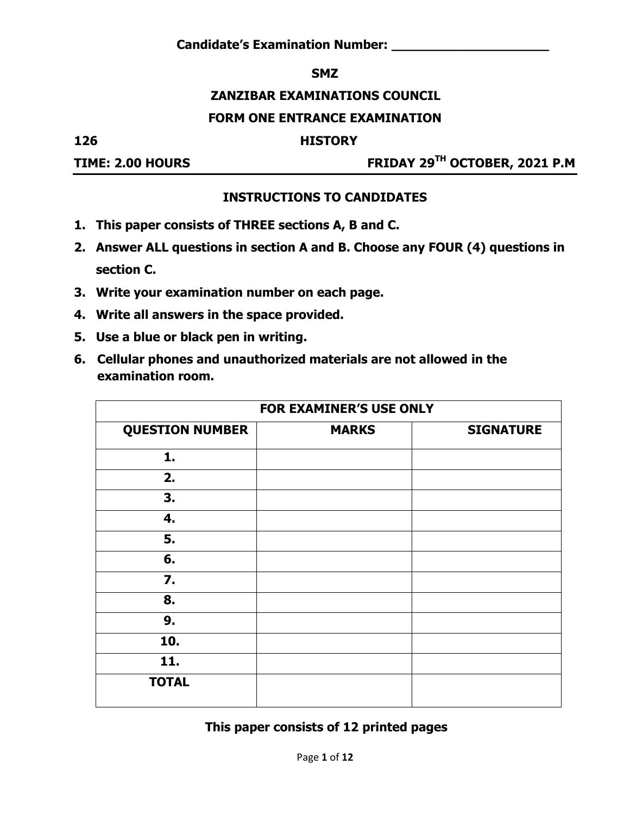#### **SMZ**

#### **ZANZIBAR EXAMINATIONS COUNCIL**

#### **FORM ONE ENTRANCE EXAMINATION**

**126 HISTORY**

**TIME: 2.00 HOURS FRIDAY 29TH OCTOBER, 2021 P.M**

#### **INSTRUCTIONS TO CANDIDATES**

- **1. This paper consists of THREE sections A, B and C.**
- **2. Answer ALL questions in section A and B. Choose any FOUR (4) questions in section C.**
- **3. Write your examination number on each page.**
- **4. Write all answers in the space provided.**
- **5. Use a blue or black pen in writing.**
- **6. Cellular phones and unauthorized materials are not allowed in the examination room.**

|                        | <b>FOR EXAMINER'S USE ONLY</b> |                  |  |  |  |  |
|------------------------|--------------------------------|------------------|--|--|--|--|
| <b>QUESTION NUMBER</b> | <b>MARKS</b>                   | <b>SIGNATURE</b> |  |  |  |  |
| 1.                     |                                |                  |  |  |  |  |
| 2.                     |                                |                  |  |  |  |  |
| 3.                     |                                |                  |  |  |  |  |
| 4.                     |                                |                  |  |  |  |  |
| 5.                     |                                |                  |  |  |  |  |
| 6.                     |                                |                  |  |  |  |  |
| $\overline{7}$ .       |                                |                  |  |  |  |  |
| 8.                     |                                |                  |  |  |  |  |
| 9.                     |                                |                  |  |  |  |  |
| 10.                    |                                |                  |  |  |  |  |
| 11.                    |                                |                  |  |  |  |  |
| <b>TOTAL</b>           |                                |                  |  |  |  |  |

**This paper consists of 12 printed pages**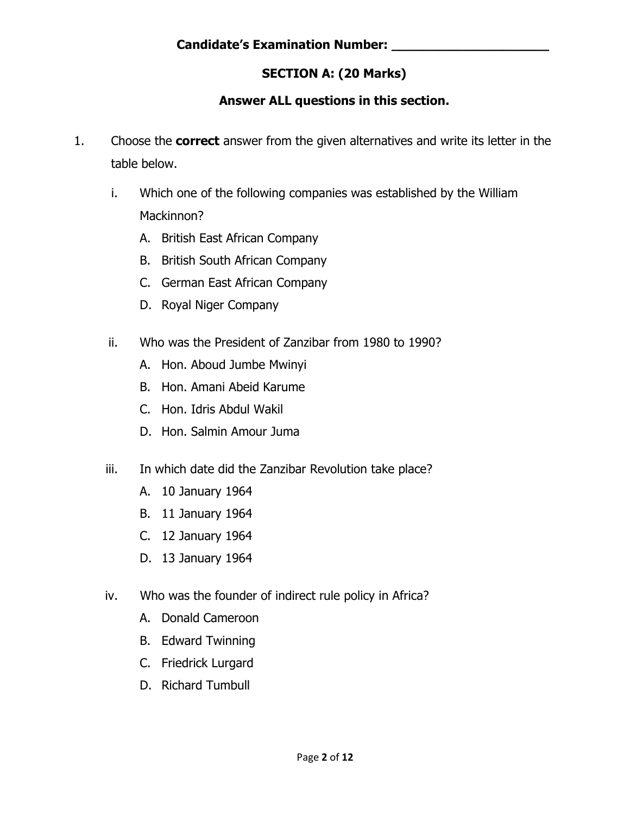# **SECTION A: (20 Marks)**

## **Answer ALL questions in this section.**

- 1. Choose the **correct** answer from the given alternatives and write its letter in the table below.
	- i. Which one of the following companies was established by the William Mackinnon?
		- A. British East African Company
		- B. British South African Company
		- C. German East African Company
		- D. Royal Niger Company
	- ii. Who was the President of Zanzibar from 1980 to 1990?
		- A. Hon. Aboud Jumbe Mwinyi
		- B. Hon. Amani Abeid Karume
		- C. Hon. Idris Abdul Wakil
		- D. Hon. Salmin Amour Juma
	- iii. In which date did the Zanzibar Revolution take place?
		- A. 10 January 1964
		- B. 11 January 1964
		- C. 12 January 1964
		- D. 13 January 1964
	- iv. Who was the founder of indirect rule policy in Africa?
		- A. Donald Cameroon
		- B. Edward Twinning
		- C. Friedrick Lurgard
		- D. Richard Tumbull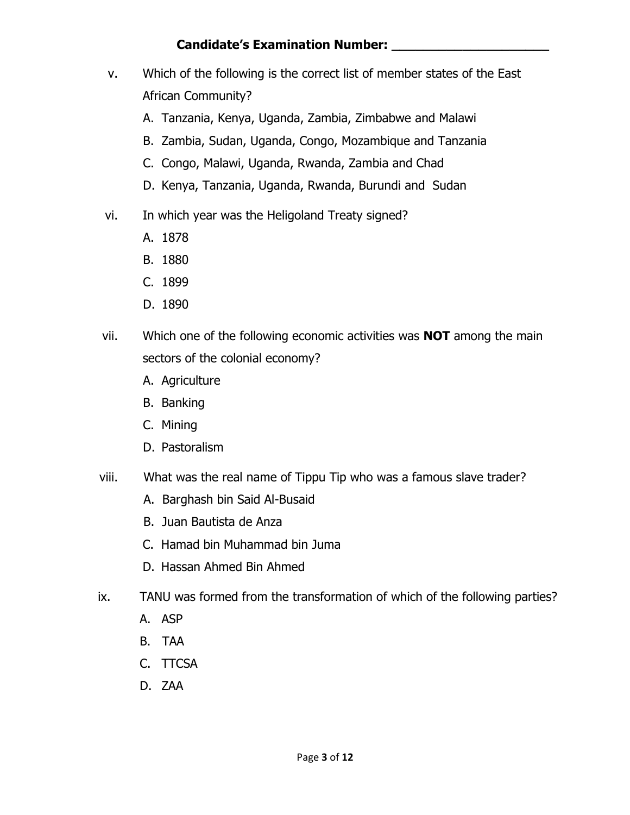### **Candidate's Examination Number: \_\_\_\_\_\_\_\_\_\_\_\_\_\_\_\_\_\_\_\_**

- v. Which of the following is the correct list of member states of the East African Community?
	- A. Tanzania, Kenya, Uganda, Zambia, Zimbabwe and Malawi
	- B. Zambia, Sudan, Uganda, Congo, Mozambique and Tanzania
	- C. Congo, Malawi, Uganda, Rwanda, Zambia and Chad
	- D. Kenya, Tanzania, Uganda, Rwanda, Burundi and Sudan
- vi. In which year was the Heligoland Treaty signed?
	- A. 1878
	- B. 1880
	- C. 1899
	- D. 1890
- vii. Which one of the following economic activities was **NOT** among the main sectors of the colonial economy?
	- A. Agriculture
	- B. Banking
	- C. Mining
	- D. Pastoralism
- viii. What was the real name of Tippu Tip who was a famous slave trader?
	- A. Barghash bin Said Al-Busaid
	- B. [Juan Bautista de Anza](https://en.wikipedia.org/wiki/Juan_Bautista_de_Anza)
	- C. Hamad bin Muhammad bin Juma
	- D. Hassan Ahmed Bin Ahmed
- ix. TANU was formed from the transformation of which of the following parties?
	- A. ASP
	- B. TAA
	- C. TTCSA
	- D. ZAA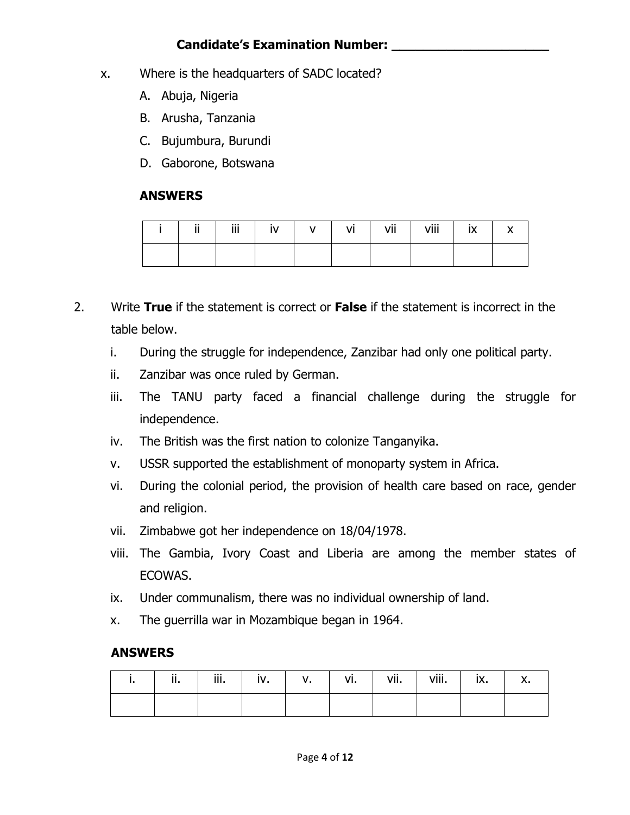### **Candidate's Examination Number: \_\_\_\_\_\_\_\_\_\_\_\_\_\_\_\_\_\_\_\_**

- x. Where is the headquarters of SADC located?
	- A. Abuja, Nigeria
	- B. Arusha, Tanzania
	- C. Bujumbura, Burundi
	- D. Gaborone, Botswana

#### **ANSWERS**

|  | Ϊİ |  | ٧I | vii | viii | IA. |  |
|--|----|--|----|-----|------|-----|--|
|  |    |  |    |     |      |     |  |

- 2. Write **True** if the statement is correct or **False** if the statement is incorrect in the table below.
	- i. During the struggle for independence, Zanzibar had only one political party.
	- ii. Zanzibar was once ruled by German.
	- iii. The TANU party faced a financial challenge during the struggle for independence.
	- iv. The British was the first nation to colonize Tanganyika.
	- v. USSR supported the establishment of monoparty system in Africa.
	- vi. During the colonial period, the provision of health care based on race, gender and religion.
	- vii. Zimbabwe got her independence on 18/04/1978.
	- viii. The Gambia, Ivory Coast and Liberia are among the member states of ECOWAS.
	- ix. Under communalism, there was no individual ownership of land.
	- x. The guerrilla war in Mozambique began in 1964.

#### **ANSWERS**

| ш, | <br>ш. | iii. | iv. | ν. | vi. | vii. | viii. | IV<br>IA. | Λ. |
|----|--------|------|-----|----|-----|------|-------|-----------|----|
|    |        |      |     |    |     |      |       |           |    |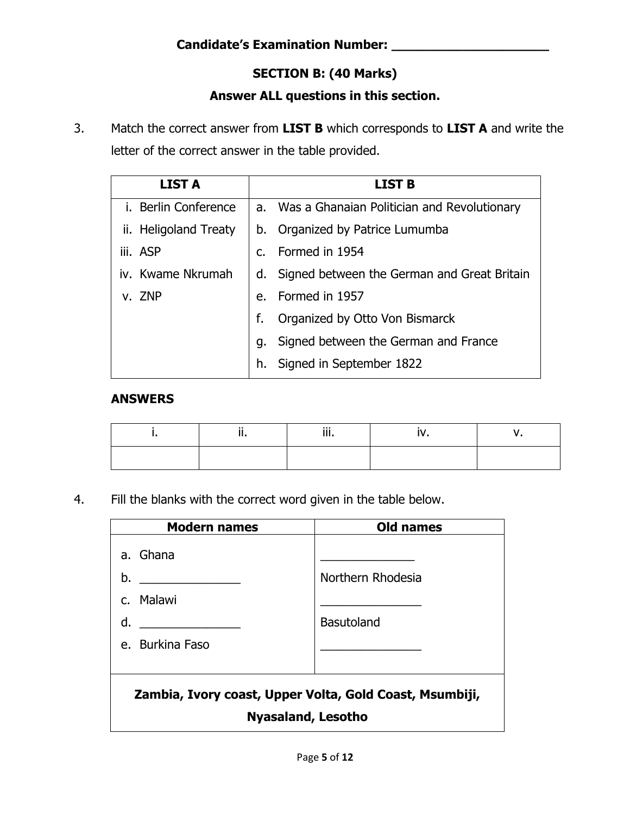# **SECTION B: (40 Marks)**

### **Answer ALL questions in this section.**

3. Match the correct answer from **LIST B** which corresponds to **LIST A** and write the letter of the correct answer in the table provided.

| <b>LIST A</b>         |               | <b>LIST B</b>                                  |
|-----------------------|---------------|------------------------------------------------|
| i. Berlin Conference  |               | a. Was a Ghanaian Politician and Revolutionary |
| ii. Heligoland Treaty | b.            | Organized by Patrice Lumumba                   |
| iii. ASP              | $C_{\bullet}$ | Formed in 1954                                 |
| iv. Kwame Nkrumah     | d.            | Signed between the German and Great Britain    |
| v. ZNP                | e.            | Formed in 1957                                 |
|                       | f.            | Organized by Otto Von Bismarck                 |
|                       | g.            | Signed between the German and France           |
|                       | h.            | Signed in September 1822                       |

#### **ANSWERS**

|  | $\cdots$ |  |
|--|----------|--|
|  |          |  |

4. Fill the blanks with the correct word given in the table below.

| <b>Modern names</b>                                                                  | <b>Old names</b>                       |  |  |  |  |
|--------------------------------------------------------------------------------------|----------------------------------------|--|--|--|--|
| a. Ghana<br>b.<br>c. Malawi<br>d.<br>e. Burkina Faso                                 | Northern Rhodesia<br><b>Basutoland</b> |  |  |  |  |
| Zambia, Ivory coast, Upper Volta, Gold Coast, Msumbiji,<br><b>Nyasaland, Lesotho</b> |                                        |  |  |  |  |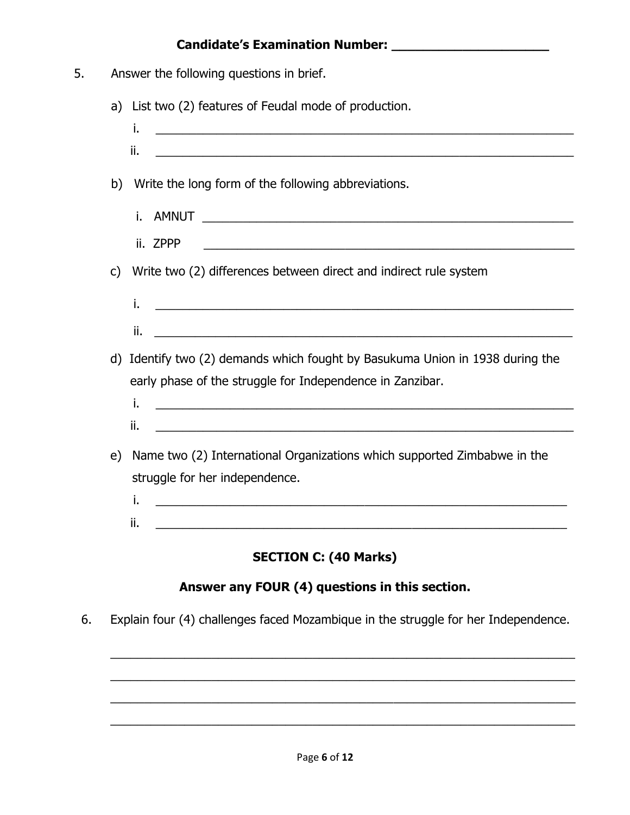# **Candidate's Examination Number: \_\_\_\_\_\_\_\_\_\_\_\_\_\_\_\_\_\_\_\_**

| 5. |              | Answer the following questions in brief.                                                                                               |
|----|--------------|----------------------------------------------------------------------------------------------------------------------------------------|
|    |              | a) List two (2) features of Feudal mode of production.                                                                                 |
|    |              | i.<br><u> 1989 - Johann Stoff, deutscher Stoff, der Stoff, der Stoff, der Stoff, der Stoff, der Stoff, der Stoff, der S</u>            |
|    |              | ii.<br><u> 1989 - Johann John Stone, martin de Brasilia (h. 1989).</u>                                                                 |
|    | b)           | Write the long form of the following abbreviations.                                                                                    |
|    |              | AMNUT<br>i.<br><u> 2000 - Jan Barnett, mars and de format de la propinsion de la propinsion de la propinsion de la propinsion de l</u> |
|    |              | ii. ZPPP                                                                                                                               |
|    | $\mathsf{C}$ | Write two (2) differences between direct and indirect rule system                                                                      |
|    |              | i.                                                                                                                                     |
|    |              | <u> 1989 - Jan Barnett, mars ann an t-Amhainn an t-Amhainn an t-Amhainn an t-Amhainn an t-Amhainn an t-Amhainn an </u><br>ii.          |
|    |              | d) Identify two (2) demands which fought by Basukuma Union in 1938 during the                                                          |
|    |              | early phase of the struggle for Independence in Zanzibar.                                                                              |
|    |              | i.                                                                                                                                     |
|    |              | ii.<br><u> 1989 - Johann Barn, mars an t-Amerikaansk politiker (* 1908)</u>                                                            |
|    | e)           | Name two (2) International Organizations which supported Zimbabwe in the                                                               |
|    |              | struggle for her independence.                                                                                                         |
|    |              | i.                                                                                                                                     |
|    |              | ii.                                                                                                                                    |
|    |              | <b>SECTION C: (40 Marks)</b>                                                                                                           |
|    |              | Answer any FOUR (4) questions in this section.                                                                                         |
|    |              |                                                                                                                                        |
| 6. |              | Explain four (4) challenges faced Mozambique in the struggle for her Independence.                                                     |
|    |              |                                                                                                                                        |

\_\_\_\_\_\_\_\_\_\_\_\_\_\_\_\_\_\_\_\_\_\_\_\_\_\_\_\_\_\_\_\_\_\_\_\_\_\_\_\_\_\_\_\_\_\_\_\_\_\_\_\_\_\_\_\_\_\_\_\_\_\_\_\_\_\_\_\_\_

\_\_\_\_\_\_\_\_\_\_\_\_\_\_\_\_\_\_\_\_\_\_\_\_\_\_\_\_\_\_\_\_\_\_\_\_\_\_\_\_\_\_\_\_\_\_\_\_\_\_\_\_\_\_\_\_\_\_\_\_\_\_\_\_\_\_\_\_\_

\_\_\_\_\_\_\_\_\_\_\_\_\_\_\_\_\_\_\_\_\_\_\_\_\_\_\_\_\_\_\_\_\_\_\_\_\_\_\_\_\_\_\_\_\_\_\_\_\_\_\_\_\_\_\_\_\_\_\_\_\_\_\_\_\_\_\_\_\_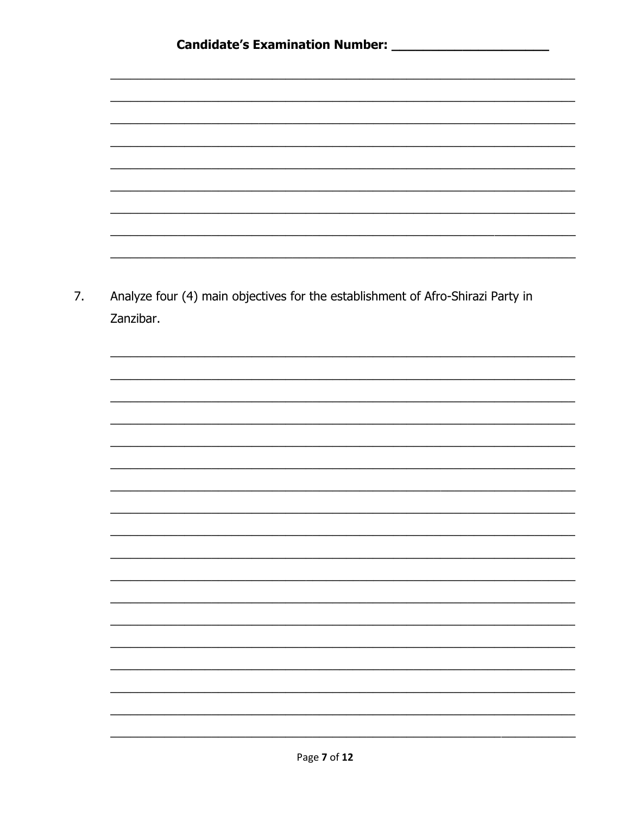

 $7.$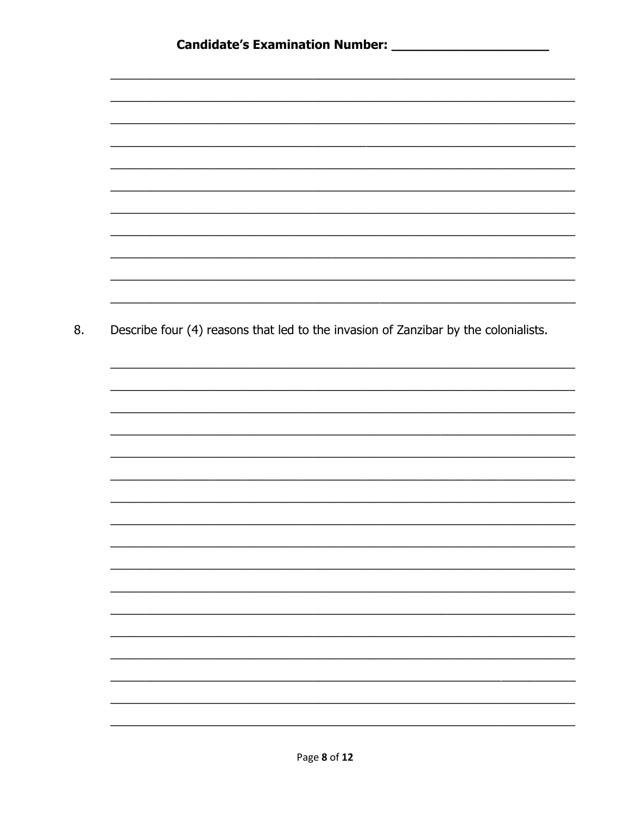8. Describe four (4) reasons that led to the invasion of Zanzibar by the colonialists.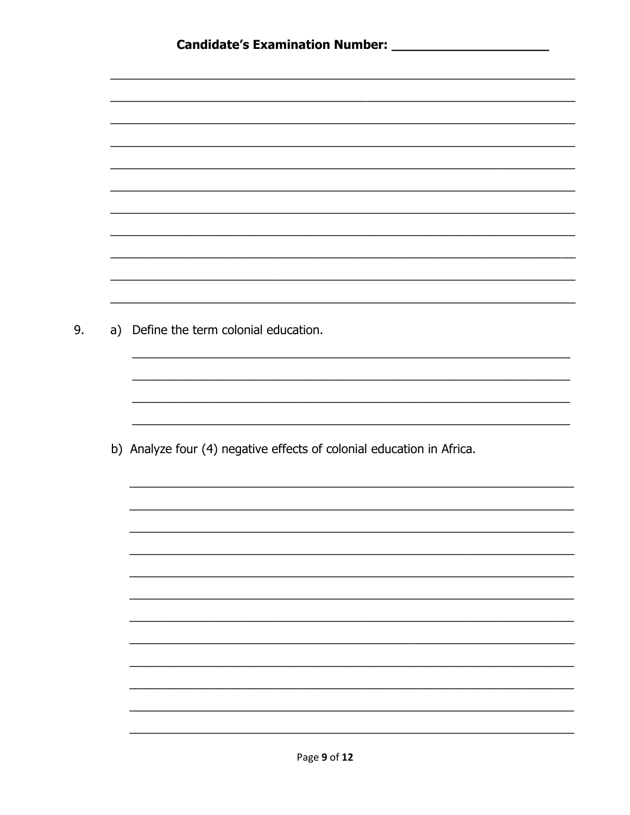| a) Define the term colonial education.                                |
|-----------------------------------------------------------------------|
|                                                                       |
|                                                                       |
|                                                                       |
|                                                                       |
|                                                                       |
| b) Analyze four (4) negative effects of colonial education in Africa. |
|                                                                       |
|                                                                       |
|                                                                       |
|                                                                       |
|                                                                       |
|                                                                       |
|                                                                       |
|                                                                       |
|                                                                       |
|                                                                       |
|                                                                       |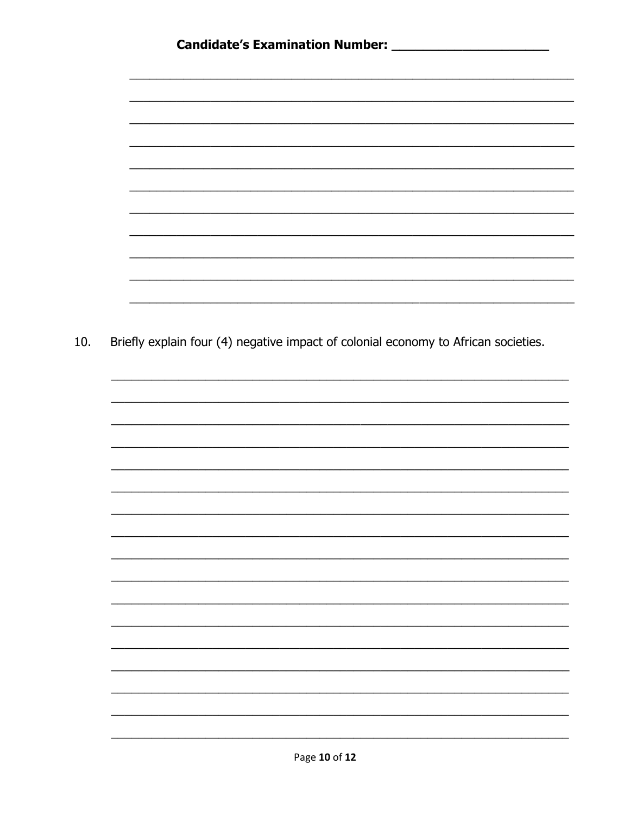| Briefly explain four (4) negative impact of colonial economy to African societies. |  |  |
|------------------------------------------------------------------------------------|--|--|
|                                                                                    |  |  |
|                                                                                    |  |  |
|                                                                                    |  |  |
|                                                                                    |  |  |
|                                                                                    |  |  |
|                                                                                    |  |  |
|                                                                                    |  |  |
|                                                                                    |  |  |
|                                                                                    |  |  |
|                                                                                    |  |  |
|                                                                                    |  |  |
|                                                                                    |  |  |
|                                                                                    |  |  |
|                                                                                    |  |  |
|                                                                                    |  |  |
|                                                                                    |  |  |
|                                                                                    |  |  |
|                                                                                    |  |  |
|                                                                                    |  |  |
|                                                                                    |  |  |
|                                                                                    |  |  |
|                                                                                    |  |  |